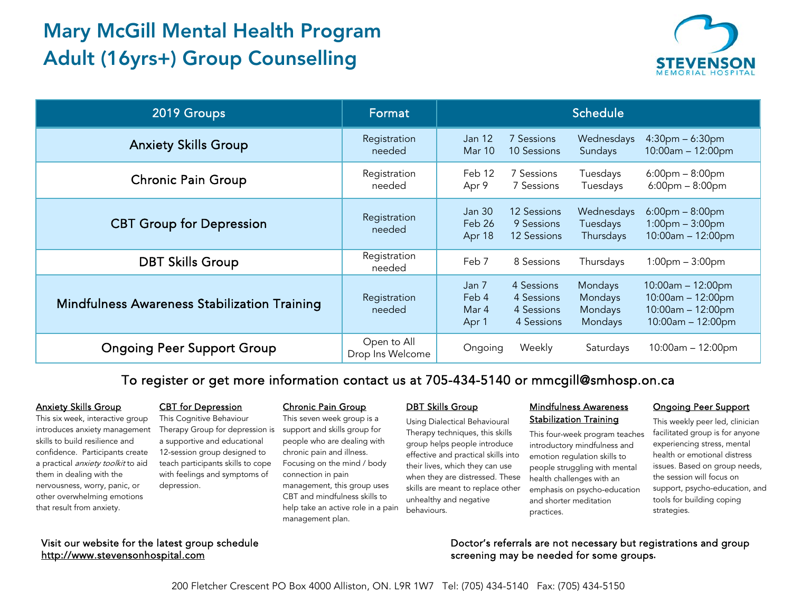# Mary McGill Mental Health Program Adult (16yrs+) Group Counselling



| 2019 Groups                                  | Format                          | <b>Schedule</b>                  |                                                      |                                          |                                                                                             |
|----------------------------------------------|---------------------------------|----------------------------------|------------------------------------------------------|------------------------------------------|---------------------------------------------------------------------------------------------|
| <b>Anxiety Skills Group</b>                  | Registration<br>needed          | <b>Jan 12</b><br>Mar 10          | 7 Sessions<br>10 Sessions                            | Wednesdays<br>Sundays                    | $4:30pm - 6:30pm$<br>$10:00am - 12:00pm$                                                    |
| <b>Chronic Pain Group</b>                    | Registration<br>needed          | Feb 12<br>Apr 9                  | 7 Sessions<br>7 Sessions                             | Tuesdays<br>Tuesdays                     | $6:00 \text{pm} - 8:00 \text{pm}$<br>$6:00 \text{pm} - 8:00 \text{pm}$                      |
| <b>CBT Group for Depression</b>              | Registration<br>needed          | Jan 30<br>Feb 26<br>Apr 18       | 12 Sessions<br>9 Sessions<br>12 Sessions             | Wednesdays<br>Tuesdays<br>Thursdays      | $6:00 \text{pm} - 8:00 \text{pm}$<br>$1:00 \text{pm} - 3:00 \text{pm}$<br>10:00am - 12:00pm |
| <b>DBT Skills Group</b>                      | Registration<br>needed          | Feb 7                            | 8 Sessions                                           | Thursdays                                | $1:00$ pm $-3:00$ pm                                                                        |
| Mindfulness Awareness Stabilization Training | Registration<br>needed          | Jan 7<br>Feb 4<br>Mar 4<br>Apr 1 | 4 Sessions<br>4 Sessions<br>4 Sessions<br>4 Sessions | Mondays<br>Mondays<br>Mondays<br>Mondays | 10:00am - 12:00pm<br>$10:00am - 12:00pm$<br>10:00am - 12:00pm<br>$10:00am - 12:00pm$        |
| <b>Ongoing Peer Support Group</b>            | Open to All<br>Drop Ins Welcome | Ongoing                          | Weekly                                               | Saturdays                                | 10:00am - 12:00pm                                                                           |

To register or get more information contact us at 705-434-5140 or mmcgill@smhosp.on.ca

#### Anxiety Skills Group

This six week, interactive group introduces anxiety management skills to build resilience and confidence. Participants create a practical *anxiety toolkit* to aid them in dealing with the nervousness, worry, panic, or other overwhelming emotions that result from anxiety.

# CBT for Depression

This Cognitive Behaviour Therapy Group for depression is a supportive and educational 12-session group designed to teach participants skills to cope with feelings and symptoms of depression.

#### Chronic Pain Group

This seven week group is a support and skills group for people who are dealing with chronic pain and illness. Focusing on the mind / body connection in pain management, this group uses CBT and mindfulness skills to help take an active role in a pain management plan.

## **DBT Skills Group**

Using Dialectical Behavioural Therapy techniques, this skills group helps people introduce effective and practical skills into their lives, which they can use when they are distressed. These skills are meant to replace other unhealthy and negative behaviours.

### Mindfulness Awareness **Stabilization Training**

This four-week program teaches introductory mindfulness and emotion regulation skills to people struggling with mental health challenges with an emphasis on psycho-education and shorter meditation practices.

#### Ongoing Peer Support

This weekly peer led, clinician facilitated group is for anyone experiencing stress, mental health or emotional distress issues. Based on group needs, the session will focus on support, psycho-education, and tools for building coping strategies.

Visit our website for the latest group schedule [http://www.stevensonhospital.com](http://www.stevensonhospital.com/) 

Doctor's referrals are not necessary but registrations and group screening may be needed for some groups**.**